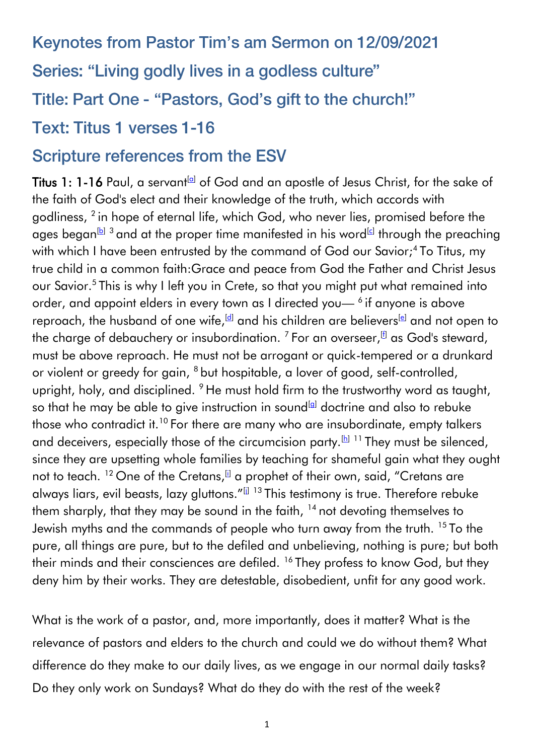# Keynotes from Pastor Tim's am Sermon on 12/09/2021 Series: "Living godly lives in a godless culture" Title: Part One - "Pastors, God's gift to the church!" **Text: Titus 1 verses 1-16**

## **Scripture references from the ESV**

Titus 1: 1-16 Paul, a servant  $\left| \alpha \right|$  of God and an apostle of Jesus Christ, for the sake of the faith of God's elect and their knowledge of the truth, which accords with godliness, <sup>2</sup> in hope of eternal life, which God, who never lies, promised before the ages began $^{\boxdot}$  3 and at the proper time manifested in his word $^{\boxdot}$  through the preaching with which I have been entrusted by the command of God our Savior;<sup>4</sup> To Titus, my true child in a common faith:Grace and peace from God the Father and Christ Jesus our Savior.<sup>5</sup> This is why I left you in Crete, so that you might put what remained into order, and appoint elders in every town as I directed you— $^6$  if anyone is above reproach, the husband of one wife, d and his children are believers (e) and not open to the charge of debauchery or insubordination.  $^7$  For an overseer, $^{\rm [f]}$  $^{\rm [f]}$  $^{\rm [f]}$  as God's steward, must be above reproach. He must not be arrogant or quick-tempered or a drunkard or violent or greedy for gain, <sup>8</sup> but hospitable, a lover of good, self-controlled, upright, holy, and disciplined. <sup>9</sup> He must hold firm to the trustworthy word as taught, so that he may be able to give instruction in sound<sup>[\[g\]](https://www.biblegateway.com/passage/?search=Titus%201&version=ESV#fen-ESV-29885g)</sup> doctrine and also to rebuke those who contradict it.<sup>10</sup> For there are many who are insubordinate, empty talkers and deceivers, especially those of the circumcision party.  $[h]$ <sup>11</sup> They must be silenced, since they are upsetting whole families by teaching for shameful gain what they ought not to teach. <sup>12</sup> One of the Cretans, **a** a prophet of their own, said, "Cretans are always liars, evil beasts, lazy gluttons."<sup>[] 13</sup> This testimony is true. Therefore rebuke them sharply, that they may be sound in the faith, <sup>14</sup> not devoting themselves to Jewish myths and the commands of people who turn away from the truth. <sup>15</sup> To the pure, all things are pure, but to the defiled and unbelieving, nothing is pure; but both their minds and their consciences are defiled. <sup>16</sup> They profess to know God, but they deny him by their works. They are detestable, disobedient, unfit for any good work.

What is the work of a pastor, and, more importantly, does it matter? What is the relevance of pastors and elders to the church and could we do without them? What difference do they make to our daily lives, as we engage in our normal daily tasks? Do they only work on Sundays? What do they do with the rest of the week?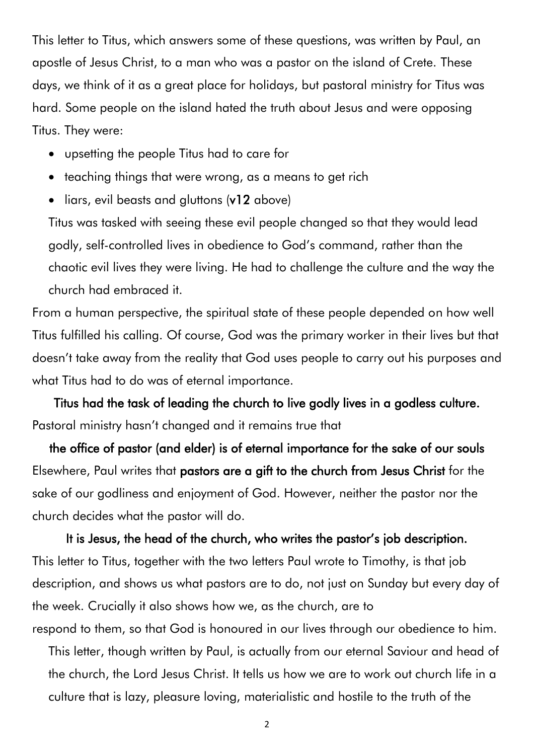This letter to Titus, which answers some of these questions, was written by Paul, an apostle of Jesus Christ, to a man who was a pastor on the island of Crete. These days, we think of it as a great place for holidays, but pastoral ministry for Titus was hard. Some people on the island hated the truth about Jesus and were opposing Titus. They were:

- upsetting the people Titus had to care for
- teaching things that were wrong, as a means to get rich
- liars, evil beasts and gluttons (v12 above)

Titus was tasked with seeing these evil people changed so that they would lead godly, self-controlled lives in obedience to God's command, rather than the chaotic evil lives they were living. He had to challenge the culture and the way the church had embraced it.

From a human perspective, the spiritual state of these people depended on how well Titus fulfilled his calling. Of course, God was the primary worker in their lives but that doesn't take away from the reality that God uses people to carry out his purposes and what Titus had to do was of eternal importance.

Titus had the task of leading the church to live godly lives in a godless culture. Pastoral ministry hasn't changed and it remains true that

the office of pastor (and elder) is of eternal importance for the sake of our souls Elsewhere, Paul writes that pastors are a gift to the church from Jesus Christ for the sake of our godliness and enjoyment of God. However, neither the pastor nor the church decides what the pastor will do.

It is Jesus, the head of the church, who writes the pastor's job description. This letter to Titus, together with the two letters Paul wrote to Timothy, is that job description, and shows us what pastors are to do, not just on Sunday but every day of the week. Crucially it also shows how we, as the church, are to respond to them, so that God is honoured in our lives through our obedience to him.

This letter, though written by Paul, is actually from our eternal Saviour and head of the church, the Lord Jesus Christ. It tells us how we are to work out church life in a culture that is lazy, pleasure loving, materialistic and hostile to the truth of the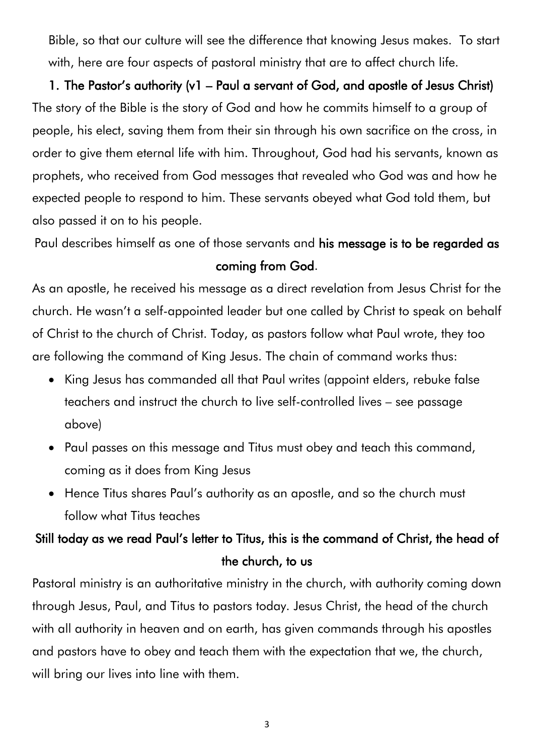Bible, so that our culture will see the difference that knowing Jesus makes. To start with, here are four aspects of pastoral ministry that are to affect church life.

## 1. The Pastor's authority (v1 – Paul a servant of God, and apostle of Jesus Christ) The story of the Bible is the story of God and how he commits himself to a group of people, his elect, saving them from their sin through his own sacrifice on the cross, in order to give them eternal life with him. Throughout, God had his servants, known as prophets, who received from God messages that revealed who God was and how he expected people to respond to him. These servants obeyed what God told them, but also passed it on to his people.

Paul describes himself as one of those servants and his message is to be regarded as coming from God.

As an apostle, he received his message as a direct revelation from Jesus Christ for the church. He wasn't a self-appointed leader but one called by Christ to speak on behalf of Christ to the church of Christ. Today, as pastors follow what Paul wrote, they too are following the command of King Jesus. The chain of command works thus:

- King Jesus has commanded all that Paul writes (appoint elders, rebuke false teachers and instruct the church to live self-controlled lives – see passage above)
- Paul passes on this message and Titus must obey and teach this command, coming as it does from King Jesus
- Hence Titus shares Paul's authority as an apostle, and so the church must follow what Titus teaches

## Still today as we read Paul's letter to Titus, this is the command of Christ, the head of the church, to us

Pastoral ministry is an authoritative ministry in the church, with authority coming down through Jesus, Paul, and Titus to pastors today. Jesus Christ, the head of the church with all authority in heaven and on earth, has given commands through his apostles and pastors have to obey and teach them with the expectation that we, the church, will bring our lives into line with them.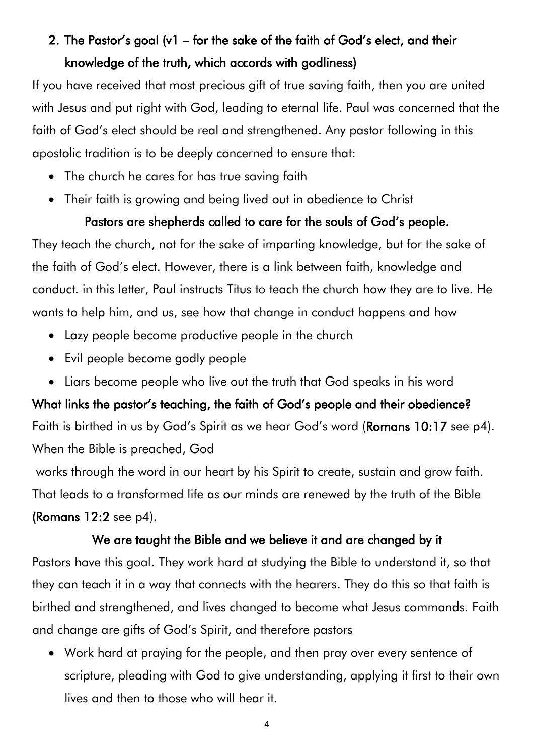## 2. The Pastor's goal (v1 – for the sake of the faith of God's elect, and their knowledge of the truth, which accords with godliness)

If you have received that most precious gift of true saving faith, then you are united with Jesus and put right with God, leading to eternal life. Paul was concerned that the faith of God's elect should be real and strengthened. Any pastor following in this apostolic tradition is to be deeply concerned to ensure that:

- The church he cares for has true saving faith
- Their faith is growing and being lived out in obedience to Christ

#### Pastors are shepherds called to care for the souls of God's people.

They teach the church, not for the sake of imparting knowledge, but for the sake of the faith of God's elect. However, there is a link between faith, knowledge and conduct. in this letter, Paul instructs Titus to teach the church how they are to live. He wants to help him, and us, see how that change in conduct happens and how

- Lazy people become productive people in the church
- Evil people become godly people
- Liars become people who live out the truth that God speaks in his word

What links the pastor's teaching, the faith of God's people and their obedience? Faith is birthed in us by God's Spirit as we hear God's word (Romans 10:17 see p4). When the Bible is preached, God

works through the word in our heart by his Spirit to create, sustain and grow faith. That leads to a transformed life as our minds are renewed by the truth of the Bible (Romans 12:2 see p4).

#### We are taught the Bible and we believe it and are changed by it

Pastors have this goal. They work hard at studying the Bible to understand it, so that they can teach it in a way that connects with the hearers. They do this so that faith is birthed and strengthened, and lives changed to become what Jesus commands. Faith and change are gifts of God's Spirit, and therefore pastors

• Work hard at praying for the people, and then pray over every sentence of scripture, pleading with God to give understanding, applying it first to their own lives and then to those who will hear it.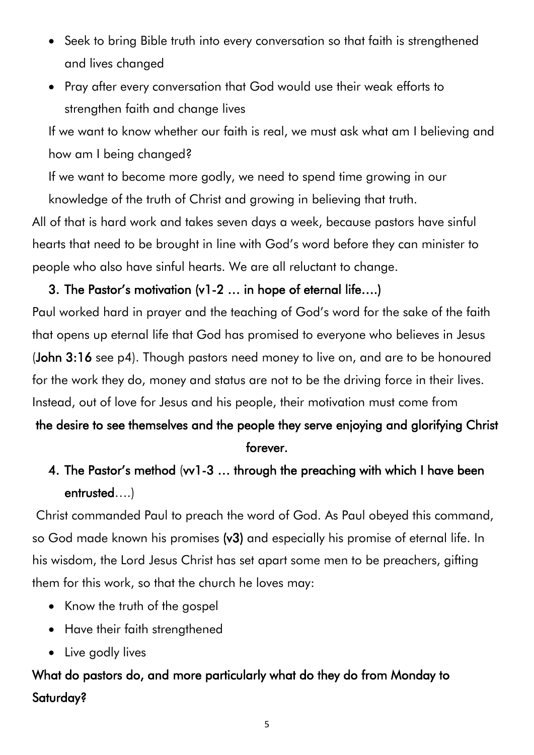- Seek to bring Bible truth into every conversation so that faith is strengthened and lives changed
- Pray after every conversation that God would use their weak efforts to strengthen faith and change lives

If we want to know whether our faith is real, we must ask what am I believing and how am I being changed?

If we want to become more godly, we need to spend time growing in our

knowledge of the truth of Christ and growing in believing that truth.

All of that is hard work and takes seven days a week, because pastors have sinful hearts that need to be brought in line with God's word before they can minister to people who also have sinful hearts. We are all reluctant to change.

#### 3. The Pastor's motivation (v1-2 … in hope of eternal life….)

Paul worked hard in prayer and the teaching of God's word for the sake of the faith that opens up eternal life that God has promised to everyone who believes in Jesus (John 3:16 see p4). Though pastors need money to live on, and are to be honoured for the work they do, money and status are not to be the driving force in their lives. Instead, out of love for Jesus and his people, their motivation must come from

## the desire to see themselves and the people they serve enjoying and glorifying Christ forever.

## 4. The Pastor's method (vv1-3 … through the preaching with which I have been entrusted….)

Christ commanded Paul to preach the word of God. As Paul obeyed this command, so God made known his promises (v3) and especially his promise of eternal life. In his wisdom, the Lord Jesus Christ has set apart some men to be preachers, gifting them for this work, so that the church he loves may:

- Know the truth of the gospel
- Have their faith strengthened
- Live godly lives

## What do pastors do, and more particularly what do they do from Monday to Saturday?

5